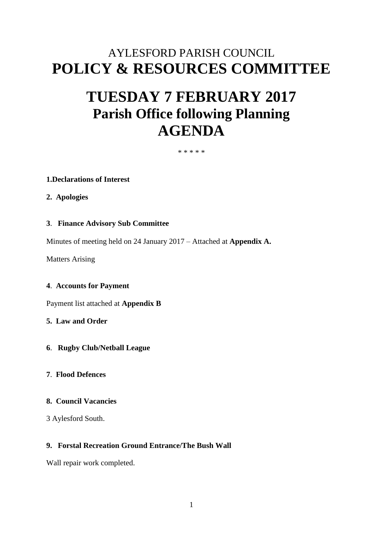# AYLESFORD PARISH COUNCIL **POLICY & RESOURCES COMMITTEE**

# **TUESDAY 7 FEBRUARY 2017 Parish Office following Planning AGENDA**

\* \* \* \* \*

## **1.Declarations of Interest**

**2. Apologies**

## **3**. **Finance Advisory Sub Committee**

Minutes of meeting held on 24 January 2017 – Attached at **Appendix A.** 

Matters Arising

#### **4**. **Accounts for Payment**

Payment list attached at **Appendix B**

**5. Law and Order**

- **6**. **Rugby Club/Netball League**
- **7**. **Flood Defences**

## **8. Council Vacancies**

3 Aylesford South.

## **9. Forstal Recreation Ground Entrance/The Bush Wall**

Wall repair work completed.